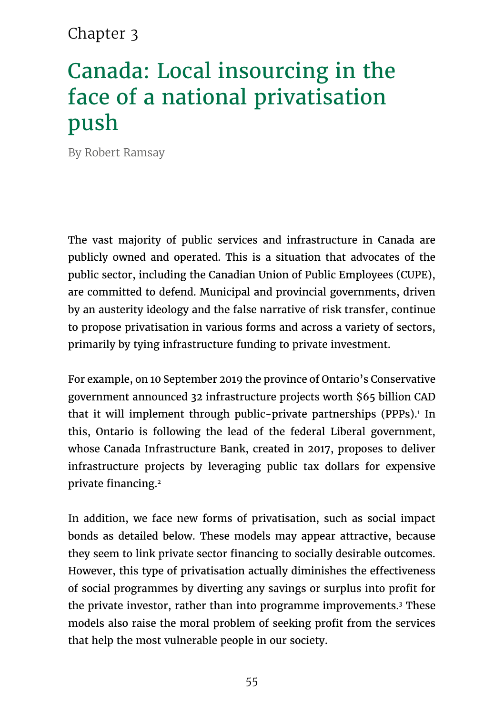### Chapter 3

# Canada: Local insourcing in the face of a national privatisation push

By Robert Ramsay

The vast majority of public services and infrastructure in Canada are publicly owned and operated. This is a situation that advocates of the public sector, including the Canadian Union of Public Employees (CUPE), are committed to defend. Municipal and provincial governments, driven by an austerity ideology and the false narrative of risk transfer, continue to propose privatisation in various forms and across a variety of sectors, primarily by tying infrastructure funding to private investment.

For example, on 10 September 2019 the province of Ontario's Conservative government announced 32 infrastructure projects worth \$65 billion CAD that it will implement through public-private partnerships (PPPs).1 In this, Ontario is following the lead of the federal Liberal government, whose Canada Infrastructure Bank, created in 2017, proposes to deliver infrastructure projects by leveraging public tax dollars for expensive private financing.<sup>2</sup>

In addition, we face new forms of privatisation, such as social impact bonds as detailed below. These models may appear attractive, because they seem to link private sector financing to socially desirable outcomes. However, this type of privatisation actually diminishes the effectiveness of social programmes by diverting any savings or surplus into profit for the private investor, rather than into programme improvements.<sup>3</sup> These models also raise the moral problem of seeking profit from the services that help the most vulnerable people in our society.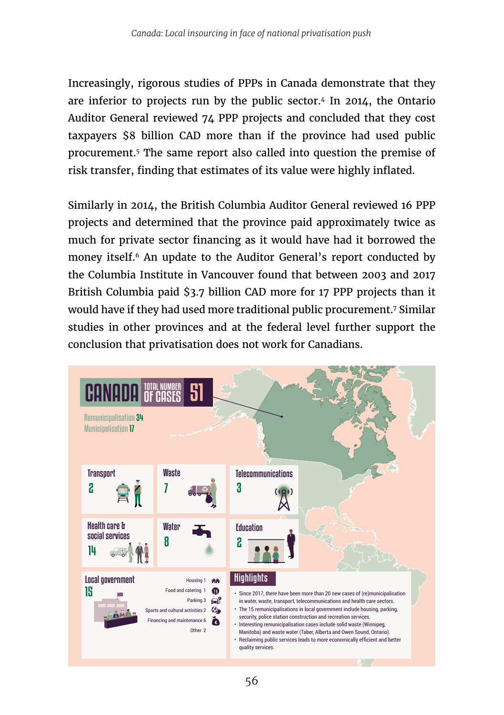Increasingly, rigorous studies of PPPs in Canada demonstrate that they are inferior to projects run by the public sector.4 In 2014, the Ontario Auditor General reviewed 74 PPP projects and concluded that they cost taxpayers \$8 billion CAD more than if the province had used public procurement.5 The same report also called into question the premise of risk transfer, finding that estimates of its value were highly inflated.

Similarly in 2014, the British Columbia Auditor General reviewed 16 PPP projects and determined that the province paid approximately twice as much for private sector financing as it would have had it borrowed the money itself.6 An update to the Auditor General's report conducted by the Columbia Institute in Vancouver found that between 2003 and 2017 British Columbia paid \$3.7 billion CAD more for 17 PPP projects than it would have if they had used more traditional public procurement.7 Similar studies in other provinces and at the federal level further support the conclusion that privatisation does not work for Canadians.

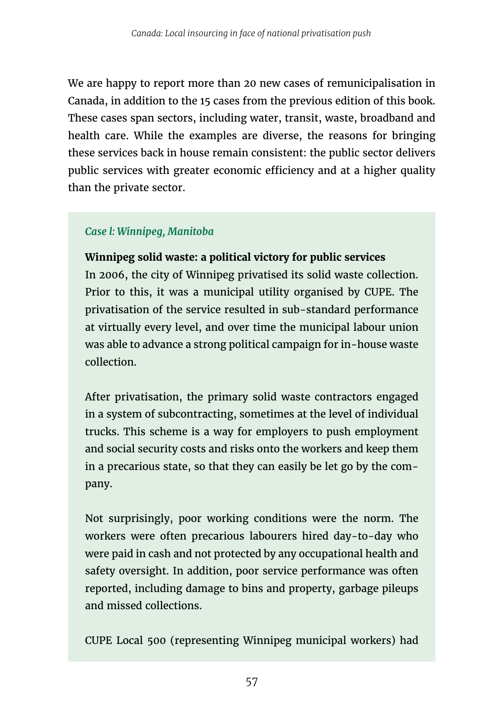We are happy to report more than 20 new cases of remunicipalisation in Canada, in addition to the 15 cases from the previous edition of this book. These cases span sectors, including water, transit, waste, broadband and health care. While the examples are diverse, the reasons for bringing these services back in house remain consistent: the public sector delivers public services with greater economic efficiency and at a higher quality than the private sector.

### *Case l: Winnipeg, Manitoba*

**Winnipeg solid waste: a political victory for public services**

In 2006, the city of Winnipeg privatised its solid waste collection. Prior to this, it was a municipal utility organised by CUPE. The privatisation of the service resulted in sub-standard performance at virtually every level, and over time the municipal labour union was able to advance a strong political campaign for in-house waste collection.

After privatisation, the primary solid waste contractors engaged in a system of subcontracting, sometimes at the level of individual trucks. This scheme is a way for employers to push employment and social security costs and risks onto the workers and keep them in a precarious state, so that they can easily be let go by the company.

Not surprisingly, poor working conditions were the norm. The workers were often precarious labourers hired day-to-day who were paid in cash and not protected by any occupational health and safety oversight. In addition, poor service performance was often reported, including damage to bins and property, garbage pileups and missed collections.

CUPE Local 500 (representing Winnipeg municipal workers) had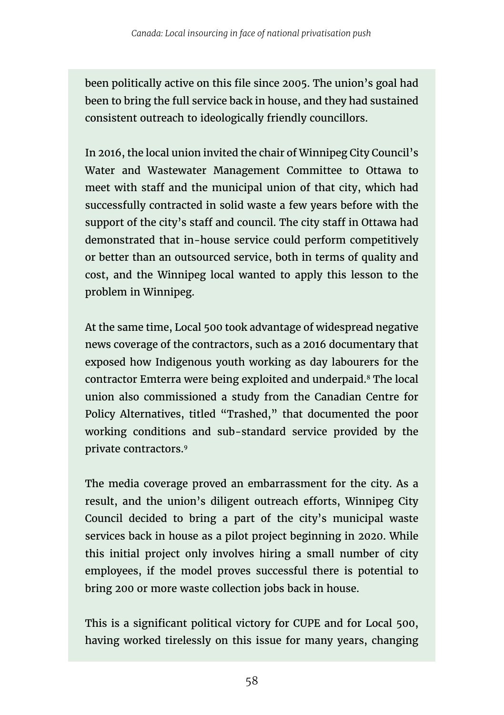been politically active on this file since 2005. The union's goal had been to bring the full service back in house, and they had sustained consistent outreach to ideologically friendly councillors.

In 2016, the local union invited the chair of Winnipeg City Council's Water and Wastewater Management Committee to Ottawa to meet with staff and the municipal union of that city, which had successfully contracted in solid waste a few years before with the support of the city's staff and council. The city staff in Ottawa had demonstrated that in-house service could perform competitively or better than an outsourced service, both in terms of quality and cost, and the Winnipeg local wanted to apply this lesson to the problem in Winnipeg.

At the same time, Local 500 took advantage of widespread negative news coverage of the contractors, such as a 2016 documentary that exposed how Indigenous youth working as day labourers for the contractor Emterra were being exploited and underpaid.8 The local union also commissioned a study from the Canadian Centre for Policy Alternatives, titled "Trashed," that documented the poor working conditions and sub-standard service provided by the private contractors.9

The media coverage proved an embarrassment for the city. As a result, and the union's diligent outreach efforts, Winnipeg City Council decided to bring a part of the city's municipal waste services back in house as a pilot project beginning in 2020. While this initial project only involves hiring a small number of city employees, if the model proves successful there is potential to bring 200 or more waste collection jobs back in house.

This is a significant political victory for CUPE and for Local 500, having worked tirelessly on this issue for many years, changing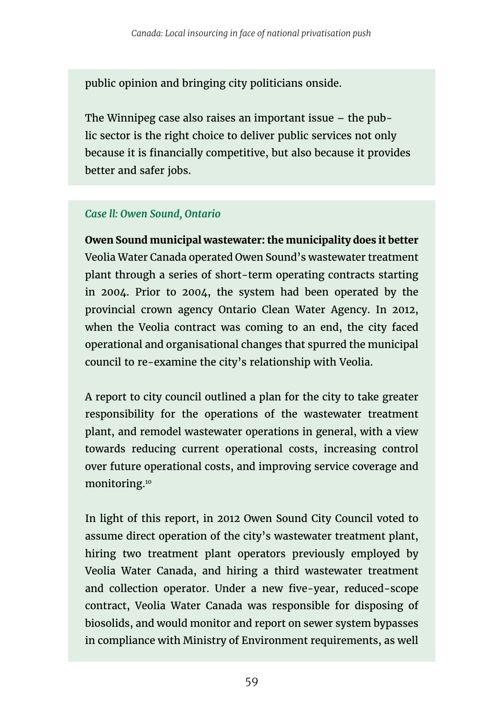public opinion and bringing city politicians onside.

The Winnipeg case also raises an important issue – the public sector is the right choice to deliver public services not only because it is financially competitive, but also because it provides better and safer jobs.

#### *Case ll: Owen Sound, Ontario*

**Owen Sound municipal wastewater: the municipality does it better** Veolia Water Canada operated Owen Sound's wastewater treatment plant through a series of short-term operating contracts starting in 2004. Prior to 2004, the system had been operated by the provincial crown agency Ontario Clean Water Agency. In 2012, when the Veolia contract was coming to an end, the city faced operational and organisational changes that spurred the municipal council to re-examine the city's relationship with Veolia.

A report to city council outlined a plan for the city to take greater responsibility for the operations of the wastewater treatment plant, and remodel wastewater operations in general, with a view towards reducing current operational costs, increasing control over future operational costs, and improving service coverage and monitoring.10

In light of this report, in 2012 Owen Sound City Council voted to assume direct operation of the city's wastewater treatment plant, hiring two treatment plant operators previously employed by Veolia Water Canada, and hiring a third wastewater treatment and collection operator. Under a new five-year, reduced-scope contract, Veolia Water Canada was responsible for disposing of biosolids, and would monitor and report on sewer system bypasses in compliance with Ministry of Environment requirements, as well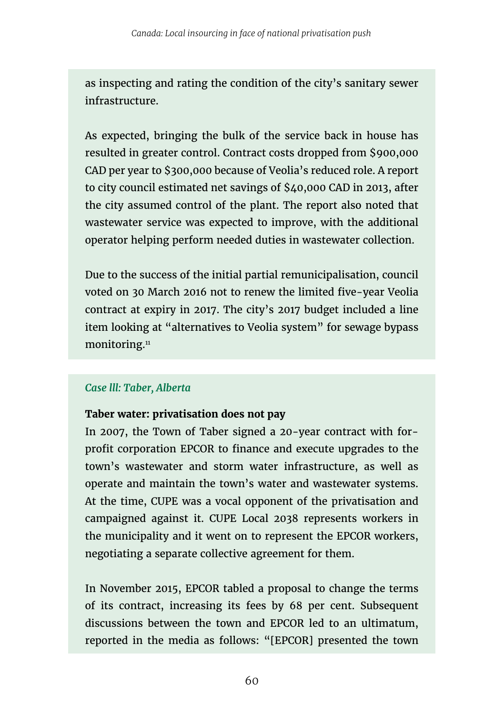as inspecting and rating the condition of the city's sanitary sewer infrastructure.

As expected, bringing the bulk of the service back in house has resulted in greater control. Contract costs dropped from \$900,000 CAD per year to \$300,000 because of Veolia's reduced role. A report to city council estimated net savings of \$40,000 CAD in 2013, after the city assumed control of the plant. The report also noted that wastewater service was expected to improve, with the additional operator helping perform needed duties in wastewater collection.

Due to the success of the initial partial remunicipalisation, council voted on 30 March 2016 not to renew the limited five-year Veolia contract at expiry in 2017. The city's 2017 budget included a line item looking at "alternatives to Veolia system" for sewage bypass monitoring.<sup>11</sup>

### *Case lll: Taber, Alberta*

#### **Taber water: privatisation does not pay**

In 2007, the Town of Taber signed a 20-year contract with forprofit corporation EPCOR to finance and execute upgrades to the town's wastewater and storm water infrastructure, as well as operate and maintain the town's water and wastewater systems. At the time, CUPE was a vocal opponent of the privatisation and campaigned against it. CUPE Local 2038 represents workers in the municipality and it went on to represent the EPCOR workers, negotiating a separate collective agreement for them.

In November 2015, EPCOR tabled a proposal to change the terms of its contract, increasing its fees by 68 per cent. Subsequent discussions between the town and EPCOR led to an ultimatum, reported in the media as follows: "[EPCOR] presented the town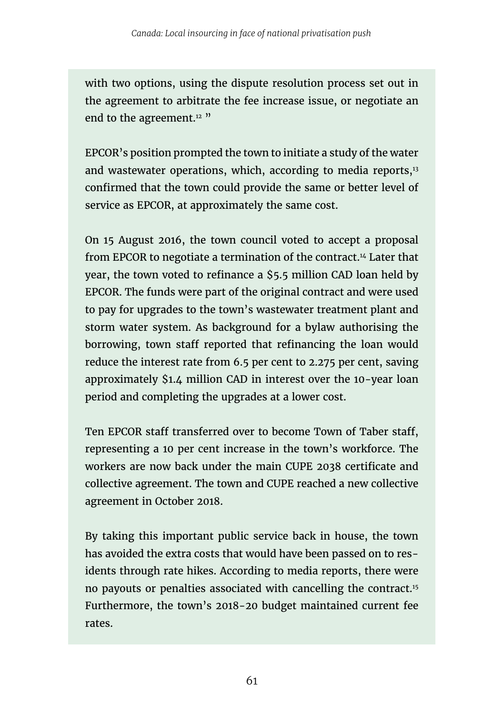with two options, using the dispute resolution process set out in the agreement to arbitrate the fee increase issue, or negotiate an end to the agreement.<sup>12</sup> "

EPCOR's position prompted the town to initiate a study of the water and wastewater operations, which, according to media reports,<sup>13</sup> confirmed that the town could provide the same or better level of service as EPCOR, at approximately the same cost.

On 15 August 2016, the town council voted to accept a proposal from EPCOR to negotiate a termination of the contract.14 Later that year, the town voted to refinance a \$5.5 million CAD loan held by EPCOR. The funds were part of the original contract and were used to pay for upgrades to the town's wastewater treatment plant and storm water system. As background for a bylaw authorising the borrowing, town staff reported that refinancing the loan would reduce the interest rate from 6.5 per cent to 2.275 per cent, saving approximately \$1.4 million CAD in interest over the 10-year loan period and completing the upgrades at a lower cost.

Ten EPCOR staff transferred over to become Town of Taber staff, representing a 10 per cent increase in the town's workforce. The workers are now back under the main CUPE 2038 certificate and collective agreement. The town and CUPE reached a new collective agreement in October 2018.

By taking this important public service back in house, the town has avoided the extra costs that would have been passed on to residents through rate hikes. According to media reports, there were no payouts or penalties associated with cancelling the contract.15 Furthermore, the town's 2018-20 budget maintained current fee rates.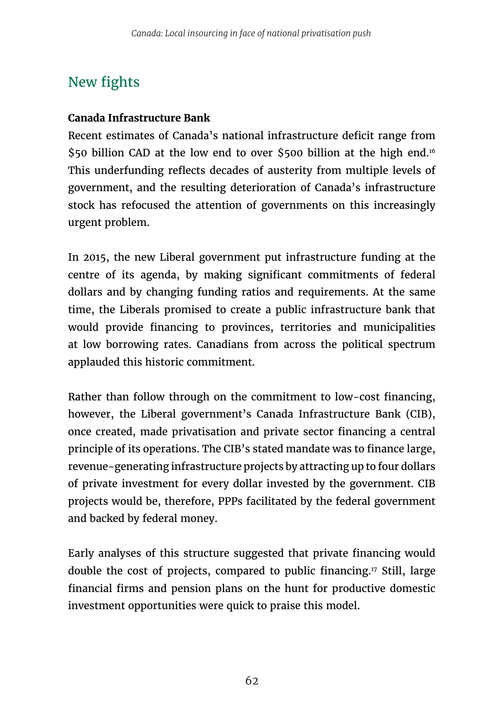## New fights

#### **Canada Infrastructure Bank**

Recent estimates of Canada's national infrastructure deficit range from \$50 billion CAD at the low end to over \$500 billion at the high end.<sup>16</sup> This underfunding reflects decades of austerity from multiple levels of government, and the resulting deterioration of Canada's infrastructure stock has refocused the attention of governments on this increasingly urgent problem.

In 2015, the new Liberal government put infrastructure funding at the centre of its agenda, by making significant commitments of federal dollars and by changing funding ratios and requirements. At the same time, the Liberals promised to create a public infrastructure bank that would provide financing to provinces, territories and municipalities at low borrowing rates. Canadians from across the political spectrum applauded this historic commitment.

Rather than follow through on the commitment to low-cost financing, however, the Liberal government's Canada Infrastructure Bank (CIB), once created, made privatisation and private sector financing a central principle of its operations. The CIB's stated mandate was to finance large, revenue-generating infrastructure projects by attracting up to four dollars of private investment for every dollar invested by the government. CIB projects would be, therefore, PPPs facilitated by the federal government and backed by federal money.

Early analyses of this structure suggested that private financing would double the cost of projects, compared to public financing.17 Still, large financial firms and pension plans on the hunt for productive domestic investment opportunities were quick to praise this model.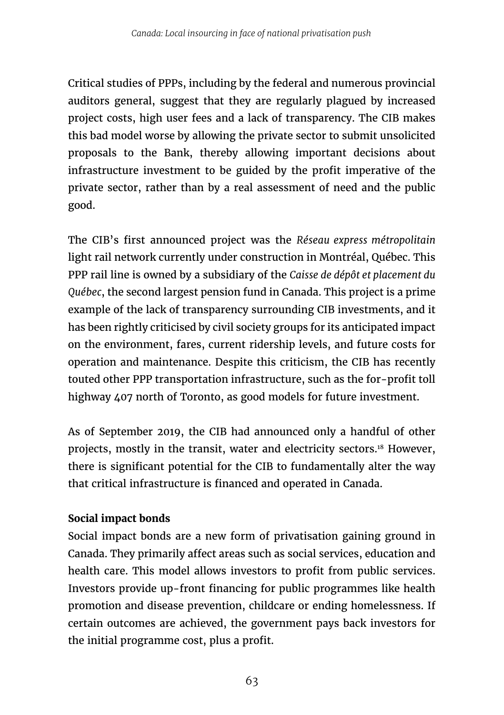Critical studies of PPPs, including by the federal and numerous provincial auditors general, suggest that they are regularly plagued by increased project costs, high user fees and a lack of transparency. The CIB makes this bad model worse by allowing the private sector to submit unsolicited proposals to the Bank, thereby allowing important decisions about infrastructure investment to be guided by the profit imperative of the private sector, rather than by a real assessment of need and the public good.

The CIB's first announced project was the *Réseau express métropolitain* light rail network currently under construction in Montréal, Québec. This PPP rail line is owned by a subsidiary of the *Caisse de dépôt et placement du Québec*, the second largest pension fund in Canada. This project is a prime example of the lack of transparency surrounding CIB investments, and it has been rightly criticised by civil society groups for its anticipated impact on the environment, fares, current ridership levels, and future costs for operation and maintenance. Despite this criticism, the CIB has recently touted other PPP transportation infrastructure, such as the for-profit toll highway 407 north of Toronto, as good models for future investment.

As of September 2019, the CIB had announced only a handful of other projects, mostly in the transit, water and electricity sectors.18 However, there is significant potential for the CIB to fundamentally alter the way that critical infrastructure is financed and operated in Canada.

### **Social impact bonds**

Social impact bonds are a new form of privatisation gaining ground in Canada. They primarily affect areas such as social services, education and health care. This model allows investors to profit from public services. Investors provide up-front financing for public programmes like health promotion and disease prevention, childcare or ending homelessness. If certain outcomes are achieved, the government pays back investors for the initial programme cost, plus a profit.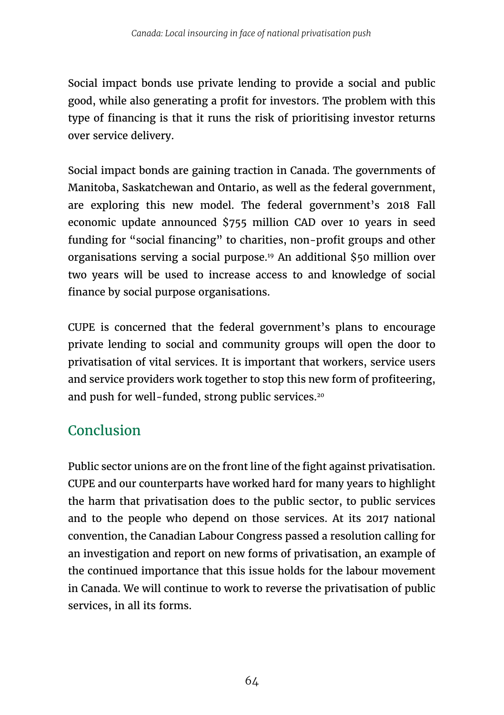Social impact bonds use private lending to provide a social and public good, while also generating a profit for investors. The problem with this type of financing is that it runs the risk of prioritising investor returns over service delivery.

Social impact bonds are gaining traction in Canada. The governments of Manitoba, Saskatchewan and Ontario, as well as the federal government, are exploring this new model. The federal government's 2018 Fall economic update announced \$755 million CAD over 10 years in seed funding for "social financing" to charities, non-profit groups and other organisations serving a social purpose.19 An additional \$50 million over two years will be used to increase access to and knowledge of social finance by social purpose organisations.

CUPE is concerned that the federal government's plans to encourage private lending to social and community groups will open the door to privatisation of vital services. It is important that workers, service users and service providers work together to stop this new form of profiteering, and push for well-funded, strong public services.<sup>20</sup>

### Conclusion

Public sector unions are on the front line of the fight against privatisation. CUPE and our counterparts have worked hard for many years to highlight the harm that privatisation does to the public sector, to public services and to the people who depend on those services. At its 2017 national convention, the Canadian Labour Congress passed a resolution calling for an investigation and report on new forms of privatisation, an example of the continued importance that this issue holds for the labour movement in Canada. We will continue to work to reverse the privatisation of public services, in all its forms.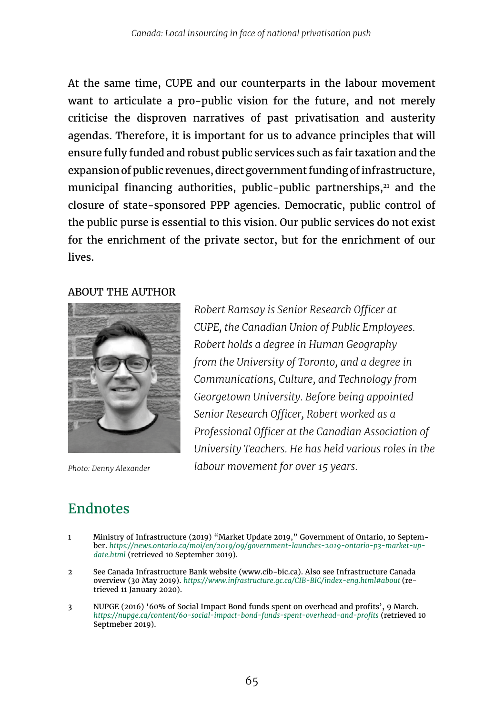At the same time, CUPE and our counterparts in the labour movement want to articulate a pro-public vision for the future, and not merely criticise the disproven narratives of past privatisation and austerity agendas. Therefore, it is important for us to advance principles that will ensure fully funded and robust public services such as fair taxation and the expansion of public revenues, direct government funding of infrastructure, municipal financing authorities, public-public partnerships, $21$  and the closure of state-sponsored PPP agencies. Democratic, public control of the public purse is essential to this vision. Our public services do not exist for the enrichment of the private sector, but for the enrichment of our lives.

#### ABOUT THE AUTHOR



*Robert Ramsay is Senior Research Officer at CUPE, the Canadian Union of Public Employees. Robert holds a degree in Human Geography from the University of Toronto, and a degree in Communications, Culture, and Technology from Georgetown University. Before being appointed Senior Research Officer, Robert worked as a Professional Officer at the Canadian Association of University Teachers. He has held various roles in the Photo: Denny Alexander labour movement for over 15 years.* 

## Endnotes

- 1 Ministry of Infrastructure (2019) "Market Update 2019," Government of Ontario, 10 September. *[https://news.ontario.ca/moi/en/2019/09/government-launches-2019-ontario-p3-market-up](https://news.ontario.ca/moi/en/2019/09/government-launches-2019-ontario-p3-market-update.html)[date.html](https://news.ontario.ca/moi/en/2019/09/government-launches-2019-ontario-p3-market-update.html)* (retrieved 10 September 2019).
- 2 See Canada Infrastructure Bank website ([www.cib-bic.ca](http://www.cib-bic.ca)). Also see Infrastructure Canada overview (30 May 2019). *[https://www.infrastructure.gc.ca/CIB-BIC/index-eng.html#about](https://www.infrastructure.gc.ca/CIB-BIC/index-eng.html)* (retrieved 11 January 2020).
- 3 NUPGE (2016) '60% of Social Impact Bond funds spent on overhead and profits', 9 March. *<https://nupge.ca/content/60-social-impact-bond-funds-spent-overhead-and-profits>* (retrieved 10 Septmeber 2019).